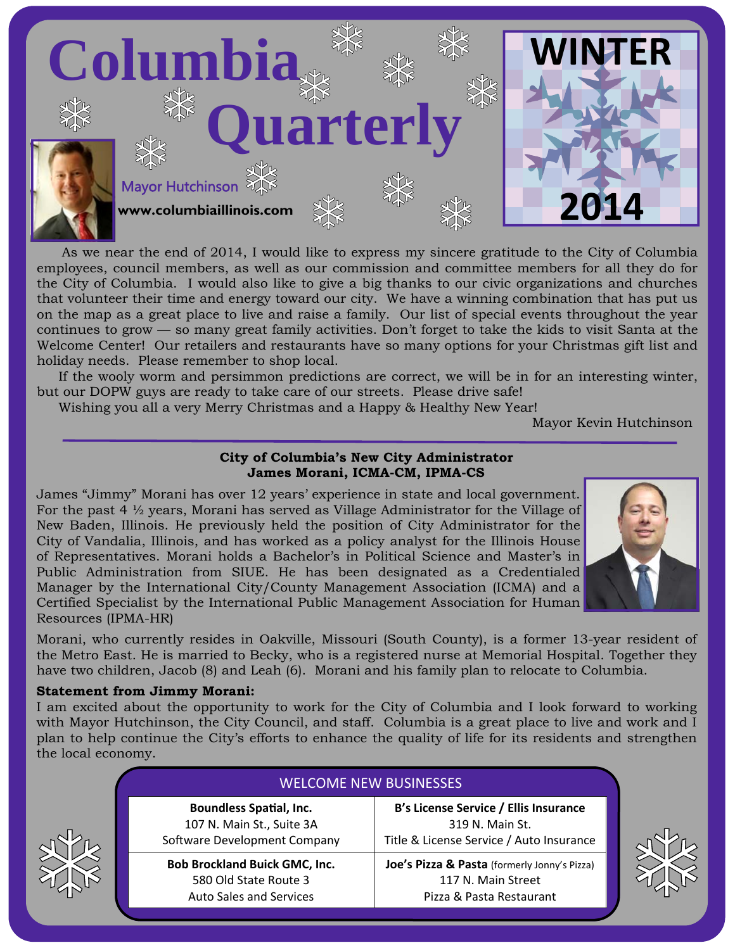

As we near the end of 2014, I would like to express my sincere gratitude to the City of Columbia employees, council members, as well as our commission and committee members for all they do for the City of Columbia. I would also like to give a big thanks to our civic organizations and churches that volunteer their time and energy toward our city. We have a winning combination that has put us on the map as a great place to live and raise a family. Our list of special events throughout the year continues to grow — so many great family activities. Don't forget to take the kids to visit Santa at the Welcome Center! Our retailers and restaurants have so many options for your Christmas gift list and holiday needs. Please remember to shop local.

 If the wooly worm and persimmon predictions are correct, we will be in for an interesting winter, but our DOPW guys are ready to take care of our streets. Please drive safe!

Wishing you all a very Merry Christmas and a Happy & Healthy New Year!

Mayor Kevin Hutchinson

# **City of Columbia's New City Administrator James Morani, ICMA-CM, IPMA-CS**

James "Jimmy" Morani has over 12 years' experience in state and local government. For the past 4  $\frac{1}{2}$  years, Morani has served as Village Administrator for the Village of New Baden, Illinois. He previously held the position of City Administrator for the City of Vandalia, Illinois, and has worked as a policy analyst for the Illinois House of Representatives. Morani holds a Bachelor's in Political Science and Master's in Public Administration from SIUE. He has been designated as a Credentialed Manager by the International City/County Management Association (ICMA) and a Certified Specialist by the International Public Management Association for Human Resources (IPMA-HR)



Morani, who currently resides in Oakville, Missouri (South County), is a former 13-year resident of the Metro East. He is married to Becky, who is a registered nurse at Memorial Hospital. Together they have two children, Jacob (8) and Leah (6). Morani and his family plan to relocate to Columbia.

# **Statement from Jimmy Morani:**

I am excited about the opportunity to work for the City of Columbia and I look forward to working with Mayor Hutchinson, the City Council, and staff. Columbia is a great place to live and work and I plan to help continue the City's efforts to enhance the quality of life for its residents and strengthen the local economy.

| <b>WELCOME NEW BUSINESSES</b>                                                                   |                                                                                                      |
|-------------------------------------------------------------------------------------------------|------------------------------------------------------------------------------------------------------|
| <b>Boundless Spatial, Inc.</b><br>107 N. Main St., Suite 3A<br>Software Development Company     | B's License Service / Ellis Insurance<br>319 N. Main St.<br>Title & License Service / Auto Insurance |
| <b>Bob Brockland Buick GMC, Inc.</b><br>580 Old State Route 3<br><b>Auto Sales and Services</b> | Joe's Pizza & Pasta (formerly Jonny's Pizza)<br>117 N. Main Street<br>Pizza & Pasta Restaurant       |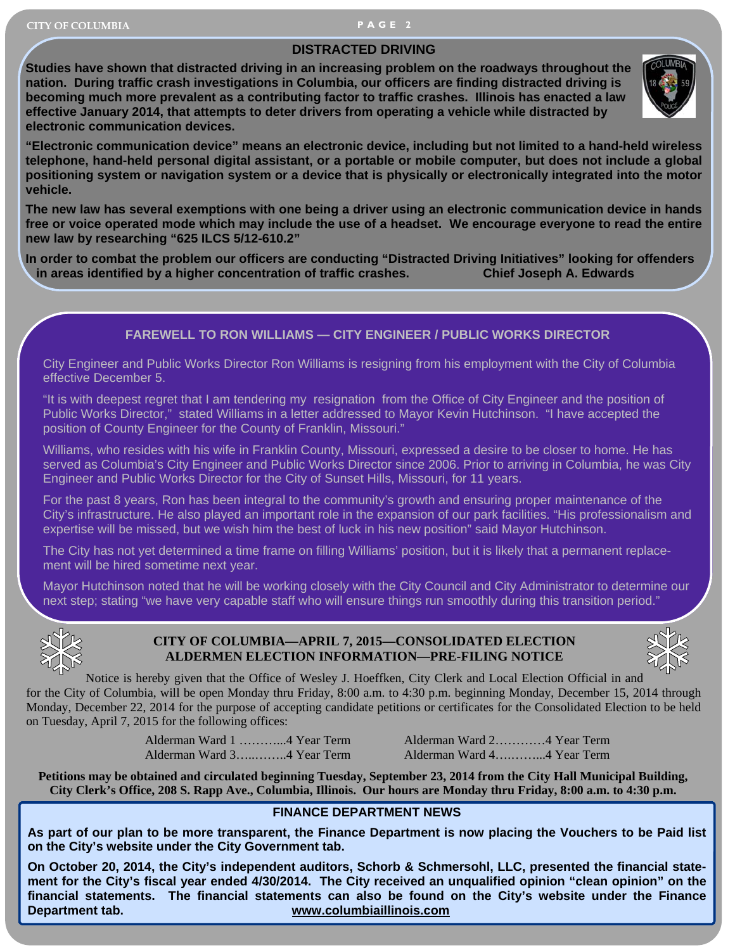#### **DISTRACTED DRIVING**

**Studies have shown that distracted driving in an increasing problem on the roadways throughout the nation. During traffic crash investigations in Columbia, our officers are finding distracted driving is becoming much more prevalent as a contributing factor to traffic crashes. Illinois has enacted a law effective January 2014, that attempts to deter drivers from operating a vehicle while distracted by electronic communication devices.** 



**"Electronic communication device" means an electronic device, including but not limited to a hand-held wireless telephone, hand-held personal digital assistant, or a portable or mobile computer, but does not include a global positioning system or navigation system or a device that is physically or electronically integrated into the motor vehicle.** 

**The new law has several exemptions with one being a driver using an electronic communication device in hands free or voice operated mode which may include the use of a headset. We encourage everyone to read the entire new law by researching "625 ILCS 5/12-610.2"** 

**In order to combat the problem our officers are conducting "Distracted Driving Initiatives" looking for offenders in areas identified by a higher concentration of traffic crashes. Chief Joseph A. Edwards** 

## **FAREWELL TO RON WILLIAMS — CITY ENGINEER / PUBLIC WORKS DIRECTOR**

City Engineer and Public Works Director Ron Williams is resigning from his employment with the City of Columbia effective December 5.

"It is with deepest regret that I am tendering my resignation from the Office of City Engineer and the position of Public Works Director," stated Williams in a letter addressed to Mayor Kevin Hutchinson. "I have accepted the position of County Engineer for the County of Franklin, Missouri."

Williams, who resides with his wife in Franklin County, Missouri, expressed a desire to be closer to home. He has served as Columbia's City Engineer and Public Works Director since 2006. Prior to arriving in Columbia, he was City Engineer and Public Works Director for the City of Sunset Hills, Missouri, for 11 years.

For the past 8 years, Ron has been integral to the community's growth and ensuring proper maintenance of the City's infrastructure. He also played an important role in the expansion of our park facilities. "His professionalism and expertise will be missed, but we wish him the best of luck in his new position" said Mayor Hutchinson.

The City has not yet determined a time frame on filling Williams' position, but it is likely that a permanent replacement will be hired sometime next year.

Mayor Hutchinson noted that he will be working closely with the City Council and City Administrator to determine our next step; stating "we have very capable staff who will ensure things run smoothly during this transition period."



## **CITY OF COLUMBIA—APRIL 7, 2015—CONSOLIDATED ELECTION ALDERMEN ELECTION INFORMATION—PRE-FILING NOTICE**



Notice is hereby given that the Office of Wesley J. Hoeffken, City Clerk and Local Election Official in and for the City of Columbia, will be open Monday thru Friday, 8:00 a.m. to 4:30 p.m. beginning Monday, December 15, 2014 through Monday, December 22, 2014 for the purpose of accepting candidate petitions or certificates for the Consolidated Election to be held on Tuesday, April 7, 2015 for the following offices:

Alderman Ward 3…..……..4 Year Term Alderman Ward 4….……...4 Year Term

Alderman Ward 1 ………...4 Year Term Alderman Ward 2…………4 Year Term

**Petitions may be obtained and circulated beginning Tuesday, September 23, 2014 from the City Hall Municipal Building, City Clerk's Office, 208 S. Rapp Ave., Columbia, Illinois. Our hours are Monday thru Friday, 8:00 a.m. to 4:30 p.m.** 

## **FINANCE DEPARTMENT NEWS**

**As part of our plan to be more transparent, the Finance Department is now placing the Vouchers to be Paid list on the City's website under the City Government tab.** 

**On October 20, 2014, the City's independent auditors, Schorb & Schmersohl, LLC, presented the financial statement for the City's fiscal year ended 4/30/2014. The City received an unqualified opinion "clean opinion" on the financial statements. The financial statements can also be found on the City's website under the Finance Department tab. www.columbiaillinois.com**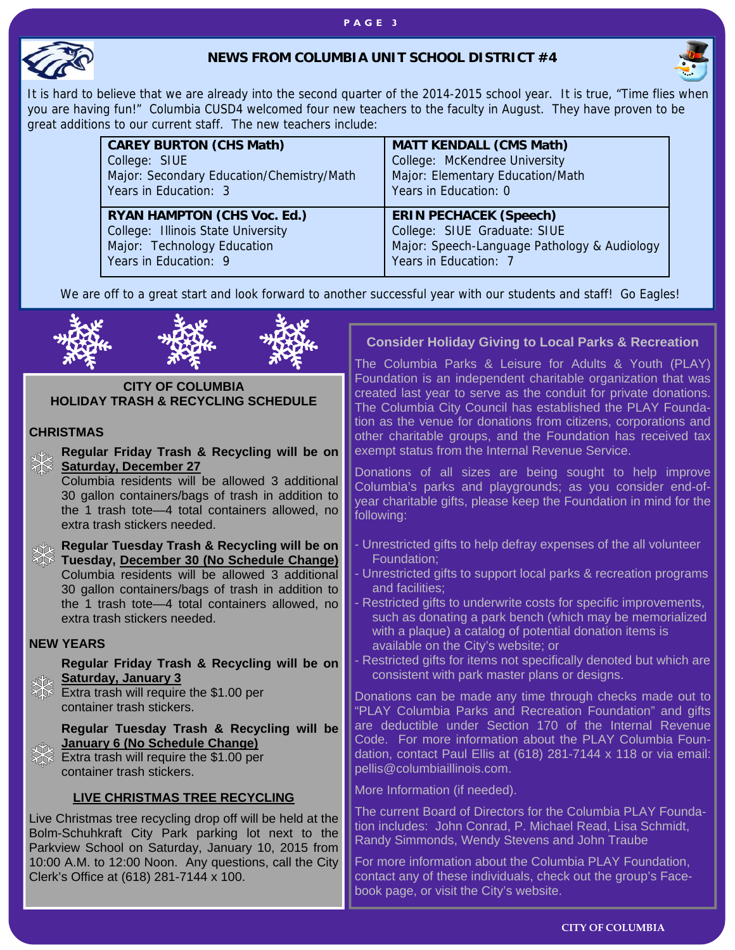#### **PAGE 3**



#### NEWS FROM COLUMBIA UNIT CONCOL DISTRICT #4 **NEWS FROM COLUMBIA UNIT SCHOOL DISTRICT #4**



It is hard to believe that we are already into the second quarter of the 2014-2015 school year. It is true, "Time flies when you are having fun!" Columbia CUSD4 welcomed four new teachers to the faculty in August. They have proven to be great additions to our current staff. The new teachers include:

| <b>CAREY BURTON (CHS Math)</b>            | <b>MATT KENDALL (CMS Math)</b>               |  |
|-------------------------------------------|----------------------------------------------|--|
| College: SIUE                             | College: McKendree University                |  |
| Major: Secondary Education/Chemistry/Math | Major: Elementary Education/Math             |  |
| Years in Education: 3                     | Years in Education: 0                        |  |
| <b>RYAN HAMPTON (CHS Voc. Ed.)</b>        | <b>ERIN PECHACEK (Speech)</b>                |  |
| College: Illinois State University        | College: SIUE Graduate: SIUE                 |  |
| Major: Technology Education               | Major: Speech-Language Pathology & Audiology |  |
| Years in Education: 9                     | Years in Education: 7                        |  |

We are off to a great start and look forward to another successful year with our students and staff! Go Eagles!



#### **CITY OF COLUMBIA HOLIDAY TRASH & RECYCLING SCHEDULE**

#### **CHRISTMAS**

**Regular Friday Trash & Recycling will be on**   $\frac{1}{2}$ **Saturday, December 27** Columbia residents will be allowed 3 additional 30 gallon containers/bags of trash in addition to the 1 trash tote—4 total containers allowed, no following: extra trash stickers needed. **Regular Tuesday Trash & Recycling will be on**  Foundation; **Tuesday, December 30 (No Schedule Change)**  Columbia residents will be allowed 3 additional and facilities; 30 gallon containers/bags of trash in addition to the 1 trash tote—4 total containers allowed, no extra trash stickers needed. **NEW YEARS Regular Friday Trash & Recycling will be on Saturday, January 3**  Extra trash will require the \$1.00 per container trash stickers. **Regular Tuesday Trash & Recycling will be January 6 (No Schedule Change)**  Extra trash will require the \$1.00 per container trash stickers. **LIVE CHRISTMAS TREE RECYCLING** Live Christmas tree recycling drop off will be held at the Bolm-Schuhkraft City Park parking lot next to the Parkview School on Saturday, January 10, 2015 from 10:00 A.M. to 12:00 Noon. Any questions, call the City Clerk's Office at (618) 281-7144 x 100.

# **Consider Holiday Giving to Local Parks & Recreation**

The Columbia Parks & Leisure for Adults & Youth (PLAY) Foundation is an independent charitable organization that was created last year to serve as the conduit for private donations. The Columbia City Council has established the PLAY Foundation as the venue for donations from citizens, corporations and other charitable groups, and the Foundation has received tax exempt status from the Internal Revenue Service.

Donations of all sizes are being sought to help improve Columbia's parks and playgrounds; as you consider end-ofyear charitable gifts, please keep the Foundation in mind for the

- Unrestricted gifts to help defray expenses of the all volunteer
- Unrestricted gifts to support local parks & recreation programs
- Restricted gifts to underwrite costs for specific improvements, such as donating a park bench (which may be memorialized with a plaque) a catalog of potential donation items is available on the City's website; or
- Restricted gifts for items not specifically denoted but which are consistent with park master plans or designs.

Donations can be made any time through checks made out to "PLAY Columbia Parks and Recreation Foundation" and gifts are deductible under Section 170 of the Internal Revenue Code. For more information about the PLAY Columbia Foundation, contact Paul Ellis at (618) 281-7144 x 118 or via email: pellis@columbiaillinois.com.

More Information (if needed).

The current Board of Directors for the Columbia PLAY Foundation includes: John Conrad, P. Michael Read, Lisa Schmidt, Randy Simmonds, Wendy Stevens and John Traube

For more information about the Columbia PLAY Foundation, contact any of these individuals, check out the group's Facebook page, or visit the City's website.